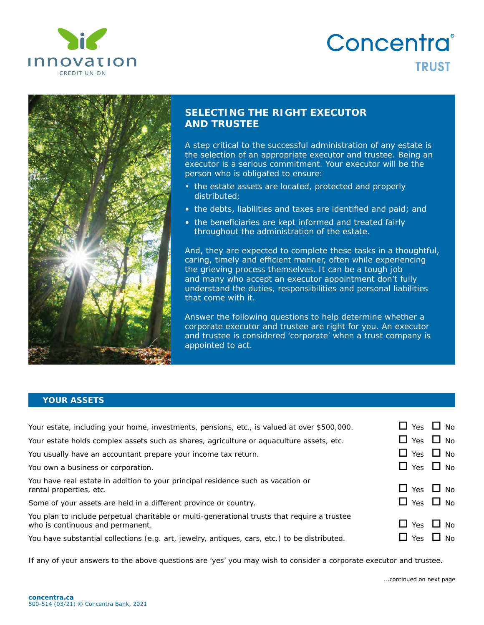

# Concentra® **TRUST**



## **SELECTING THE RIGHT EXECUTOR AND TRUSTEE**

A step critical to the successful administration of any estate is the selection of an appropriate executor and trustee. Being an executor is a serious commitment. Your executor will be the person who is obligated to ensure:

- the estate assets are located, protected and properly distributed;
- the debts, liabilities and taxes are identified and paid; and
- the beneficiaries are kept informed and treated fairly throughout the administration of the estate.

And, they are expected to complete these tasks in a thoughtful, caring, timely and efficient manner, often while experiencing the grieving process themselves. It can be a tough job and many who accept an executor appointment don't fully understand the duties, responsibilities and personal liabilities that come with it.

Answer the following questions to help determine whether a corporate executor and trustee are right for you. An executor and trustee is considered 'corporate' when a trust company is appointed to act.

#### **YOUR ASSETS**

| Your estate, including your home, investments, pensions, etc., is valued at over \$500,000.                                      | $\Box$ Yes $\Box$ No |  |
|----------------------------------------------------------------------------------------------------------------------------------|----------------------|--|
| Your estate holds complex assets such as shares, agriculture or aquaculture assets, etc.                                         | $\Box$ Yes $\Box$ No |  |
| You usually have an accountant prepare your income tax return.                                                                   | $\Box$ Yes $\Box$ No |  |
| You own a business or corporation.                                                                                               | $\Box$ Yes $\Box$ No |  |
| You have real estate in addition to your principal residence such as vacation or<br>rental properties, etc.                      | $\Box$ Yes $\Box$ No |  |
| Some of your assets are held in a different province or country.                                                                 | $\Box$ Yes $\Box$ No |  |
| You plan to include perpetual charitable or multi-generational trusts that require a trustee<br>who is continuous and permanent. | $\Box$ Yes $\Box$ No |  |
| You have substantial collections (e.g. art, jewelry, antiques, cars, etc.) to be distributed.                                    | $\Box$ Yes $\Box$ No |  |

*If any of your answers to the above questions are 'yes' you may wish to consider a corporate executor and trustee.*